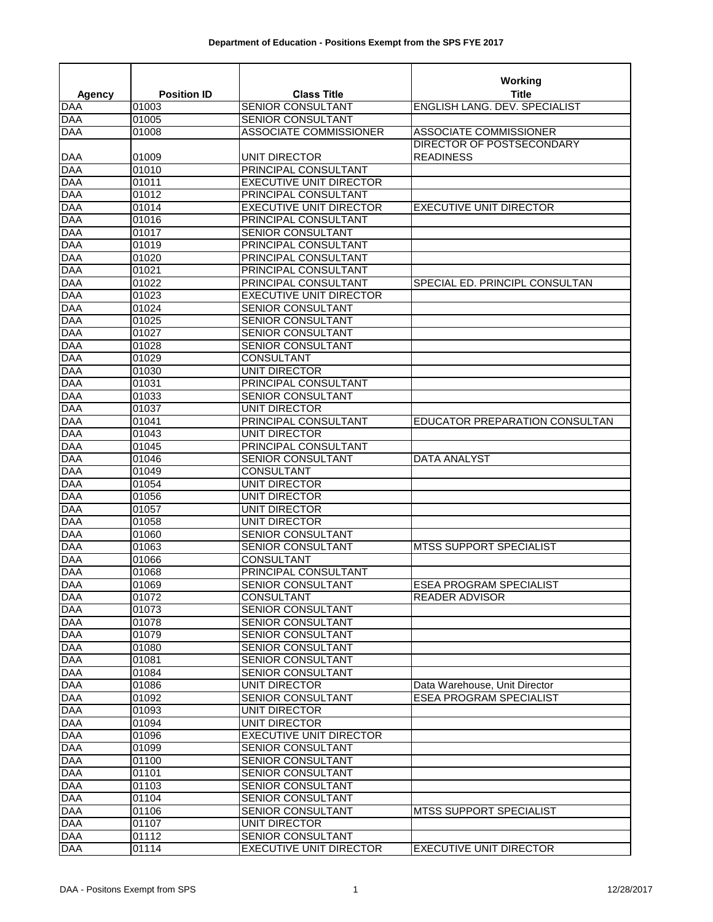|                          |                    |                                    | Working                        |
|--------------------------|--------------------|------------------------------------|--------------------------------|
| <b>Agency</b>            | <b>Position ID</b> | <b>Class Title</b>                 | <b>Title</b>                   |
| <b>DAA</b>               | 01003              | SENIOR CONSULTANT                  | ENGLISH LANG. DEV. SPECIALIST  |
| <b>DAA</b>               | 01005              | <b>SENIOR CONSULTANT</b>           |                                |
| <b>DAA</b>               | 01008              | <b>ASSOCIATE COMMISSIONER</b>      | ASSOCIATE COMMISSIONER         |
|                          |                    |                                    | DIRECTOR OF POSTSECONDARY      |
| DAA                      | 01009              | UNIT DIRECTOR                      | <b>READINESS</b>               |
| <b>DAA</b>               | 01010              | PRINCIPAL CONSULTANT               |                                |
| <b>DAA</b>               | 01011              | <b>EXECUTIVE UNIT DIRECTOR</b>     |                                |
| <b>DAA</b>               | 01012              | PRINCIPAL CONSULTANT               |                                |
| <b>DAA</b>               | 01014              | <b>EXECUTIVE UNIT DIRECTOR</b>     | <b>EXECUTIVE UNIT DIRECTOR</b> |
| <b>DAA</b>               | 01016              | PRINCIPAL CONSULTANT               |                                |
| <b>DAA</b>               | 01017              | <b>SENIOR CONSULTANT</b>           |                                |
| <b>DAA</b>               | 01019              | PRINCIPAL CONSULTANT               |                                |
| <b>DAA</b>               | 01020              | PRINCIPAL CONSULTANT               |                                |
| <b>DAA</b>               | 01021              | PRINCIPAL CONSULTANT               |                                |
| <b>DAA</b>               | 01022              | PRINCIPAL CONSULTANT               | SPECIAL ED. PRINCIPL CONSULTAN |
| <b>DAA</b>               | 01023              | <b>EXECUTIVE UNIT DIRECTOR</b>     |                                |
| <b>DAA</b>               | 01024              | <b>SENIOR CONSULTANT</b>           |                                |
| <b>DAA</b>               | 01025              | SENIOR CONSULTANT                  |                                |
| <b>DAA</b>               | 01027              | SENIOR CONSULTANT                  |                                |
| <b>DAA</b>               | 01028              | SENIOR CONSULTANT                  |                                |
| <b>DAA</b><br><b>DAA</b> | 01029<br>01030     | <b>CONSULTANT</b><br>UNIT DIRECTOR |                                |
| <b>DAA</b>               | 01031              | PRINCIPAL CONSULTANT               |                                |
| <b>DAA</b>               | 01033              | SENIOR CONSULTANT                  |                                |
| <b>DAA</b>               | 01037              | <b>UNIT DIRECTOR</b>               |                                |
| <b>DAA</b>               | 01041              | PRINCIPAL CONSULTANT               | EDUCATOR PREPARATION CONSULTAN |
| <b>DAA</b>               | 01043              | <b>UNIT DIRECTOR</b>               |                                |
| <b>DAA</b>               | 01045              | PRINCIPAL CONSULTANT               |                                |
| <b>DAA</b>               | 01046              | SENIOR CONSULTANT                  | <b>DATA ANALYST</b>            |
| <b>DAA</b>               | 01049              | <b>CONSULTANT</b>                  |                                |
| <b>DAA</b>               | 01054              | UNIT DIRECTOR                      |                                |
| <b>DAA</b>               | 01056              | UNIT DIRECTOR                      |                                |
| <b>DAA</b>               | 01057              | UNIT DIRECTOR                      |                                |
| <b>DAA</b>               | 01058              | <b>UNIT DIRECTOR</b>               |                                |
| <b>DAA</b>               | 01060              | SENIOR CONSULTANT                  |                                |
| <b>DAA</b>               | 01063              | SENIOR CONSULTANT                  | MTSS SUPPORT SPECIALIST        |
| <b>DAA</b>               | 01066              | CONSULTANT                         |                                |
| <b>DAA</b>               | 01068              | PRINCIPAL CONSULTANT               |                                |
| <b>DAA</b>               | 01069              | <b>SENIOR CONSULTANT</b>           | <b>ESEA PROGRAM SPECIALIST</b> |
| <b>DAA</b>               | 01072              | <b>CONSULTANT</b>                  | <b>READER ADVISOR</b>          |
| <b>DAA</b>               | 01073              | SENIOR CONSULTANT                  |                                |
| <b>DAA</b>               | 01078              | <b>SENIOR CONSULTANT</b>           |                                |
| <b>DAA</b>               | 01079              | <b>SENIOR CONSULTANT</b>           |                                |
| <b>DAA</b>               | 01080              | SENIOR CONSULTANT                  |                                |
| <b>DAA</b>               | 01081              | <b>SENIOR CONSULTANT</b>           |                                |
| <b>DAA</b>               | 01084              | SENIOR CONSULTANT                  |                                |
| <b>DAA</b>               | 01086              | UNIT DIRECTOR                      | Data Warehouse, Unit Director  |
| <b>DAA</b>               | 01092              | <b>SENIOR CONSULTANT</b>           | <b>ESEA PROGRAM SPECIALIST</b> |
| <b>DAA</b>               | 01093              | <b>UNIT DIRECTOR</b>               |                                |
| <b>DAA</b>               | 01094              | UNIT DIRECTOR                      |                                |
| <b>DAA</b>               | 01096              | <b>EXECUTIVE UNIT DIRECTOR</b>     |                                |
| <b>DAA</b>               | 01099              | <b>SENIOR CONSULTANT</b>           |                                |
| <b>DAA</b>               | 01100              | SENIOR CONSULTANT                  |                                |
| <b>DAA</b>               | 01101              | <b>SENIOR CONSULTANT</b>           |                                |
| <b>DAA</b>               | 01103              | SENIOR CONSULTANT                  |                                |
| <b>DAA</b>               | 01104              | <b>SENIOR CONSULTANT</b>           |                                |
| <b>DAA</b>               | 01106              | SENIOR CONSULTANT                  | <b>MTSS SUPPORT SPECIALIST</b> |
| <b>DAA</b>               | 01107              | UNIT DIRECTOR                      |                                |
| <b>DAA</b>               | 01112              | SENIOR CONSULTANT                  |                                |
| <b>DAA</b>               | 01114              | <b>EXECUTIVE UNIT DIRECTOR</b>     | <b>EXECUTIVE UNIT DIRECTOR</b> |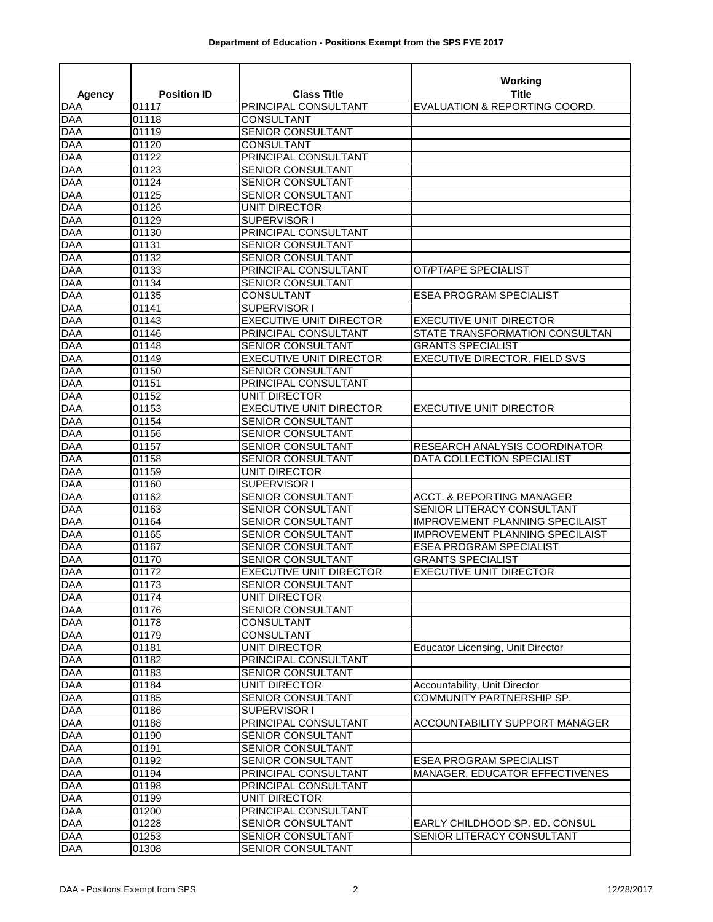|                          |                    |                                           | <b>Working</b>                           |
|--------------------------|--------------------|-------------------------------------------|------------------------------------------|
| <b>Agency</b>            | <b>Position ID</b> | <b>Class Title</b>                        | Title                                    |
| <b>DAA</b>               | 01117              | PRINCIPAL CONSULTANT                      | EVALUATION & REPORTING COORD.            |
| <b>DAA</b>               | 01118              | <b>CONSULTANT</b>                         |                                          |
| <b>DAA</b>               | 01119              | <b>SENIOR CONSULTANT</b>                  |                                          |
| <b>DAA</b>               | 01120              | <b>CONSULTANT</b>                         |                                          |
| <b>DAA</b>               | 01122              | PRINCIPAL CONSULTANT                      |                                          |
| <b>DAA</b>               | 01123              | SENIOR CONSULTANT                         |                                          |
| <b>DAA</b>               | 01124              | SENIOR CONSULTANT                         |                                          |
| <b>DAA</b>               | 01125              | SENIOR CONSULTANT                         |                                          |
| <b>DAA</b>               | 01126              | UNIT DIRECTOR                             |                                          |
| <b>DAA</b><br><b>DAA</b> | 01129              | SUPERVISOR I                              |                                          |
| <b>DAA</b>               | 01130<br>01131     | PRINCIPAL CONSULTANT<br>SENIOR CONSULTANT |                                          |
| <b>DAA</b>               | 01132              | SENIOR CONSULTANT                         |                                          |
| <b>DAA</b>               | 01133              | PRINCIPAL CONSULTANT                      | OT/PT/APE SPECIALIST                     |
| <b>DAA</b>               | 01134              | SENIOR CONSULTANT                         |                                          |
| <b>DAA</b>               | 01135              | <b>CONSULTANT</b>                         | <b>ESEA PROGRAM SPECIALIST</b>           |
| <b>DAA</b>               | 01141              | SUPERVISOR I                              |                                          |
| <b>DAA</b>               | 01143              | <b>EXECUTIVE UNIT DIRECTOR</b>            | <b>EXECUTIVE UNIT DIRECTOR</b>           |
| <b>DAA</b>               | 01146              | PRINCIPAL CONSULTANT                      | STATE TRANSFORMATION CONSULTAN           |
| <b>DAA</b>               | 01148              | SENIOR CONSULTANT                         | <b>GRANTS SPECIALIST</b>                 |
| <b>DAA</b>               | 01149              | <b>EXECUTIVE UNIT DIRECTOR</b>            | <b>EXECUTIVE DIRECTOR, FIELD SVS</b>     |
| <b>DAA</b>               | 01150              | SENIOR CONSULTANT                         |                                          |
| <b>DAA</b>               | 01151              | PRINCIPAL CONSULTANT                      |                                          |
| <b>DAA</b>               | 01152              | <b>UNIT DIRECTOR</b>                      |                                          |
| <b>DAA</b>               | 01153              | <b>EXECUTIVE UNIT DIRECTOR</b>            | <b>EXECUTIVE UNIT DIRECTOR</b>           |
| <b>DAA</b>               | 01154              | SENIOR CONSULTANT                         |                                          |
| <b>DAA</b>               | 01156              | SENIOR CONSULTANT                         |                                          |
| <b>DAA</b>               | 01157              | SENIOR CONSULTANT                         | RESEARCH ANALYSIS COORDINATOR            |
| <b>DAA</b>               | 01158              | <b>SENIOR CONSULTANT</b>                  | DATA COLLECTION SPECIALIST               |
| <b>DAA</b>               | 01159              | UNIT DIRECTOR                             |                                          |
| <b>DAA</b>               | 01160              | SUPERVISOR I                              |                                          |
| <b>DAA</b>               | 01162              | <b>SENIOR CONSULTANT</b>                  | <b>ACCT. &amp; REPORTING MANAGER</b>     |
| <b>DAA</b>               | 01163              | <b>SENIOR CONSULTANT</b>                  | SENIOR LITERACY CONSULTANT               |
| <b>DAA</b>               | 01164              | <b>SENIOR CONSULTANT</b>                  | <b>IMPROVEMENT PLANNING SPECILAIST</b>   |
| <b>DAA</b>               | 01165              | SENIOR CONSULTANT                         | <b>IMPROVEMENT PLANNING SPECILAIST</b>   |
| <b>DAA</b>               | 01167              | SENIOR CONSULTANT                         | <b>ESEA PROGRAM SPECIALIST</b>           |
| <b>DAA</b>               | 01170              | SENIOR CONSULTANT                         | <b>GRANTS SPECIALIST</b>                 |
| <b>DAA</b>               | 01172              | <b>EXECUTIVE UNIT DIRECTOR</b>            | <b>EXECUTIVE UNIT DIRECTOR</b>           |
| <b>DAA</b>               | 01173              | SENIOR CONSULTANT                         |                                          |
| <b>DAA</b>               | 01174              | <b>UNIT DIRECTOR</b>                      |                                          |
| <b>DAA</b>               | 01176              | SENIOR CONSULTANT                         |                                          |
| <b>DAA</b>               | 01178              | CONSULTANT                                |                                          |
| <b>DAA</b>               | 01179              | <b>CONSULTANT</b>                         |                                          |
| <b>DAA</b>               | 01181              | UNIT DIRECTOR                             | <b>Educator Licensing, Unit Director</b> |
| <b>DAA</b>               | 01182              | PRINCIPAL CONSULTANT                      |                                          |
| <b>DAA</b>               | 01183              | <b>SENIOR CONSULTANT</b>                  |                                          |
| <b>DAA</b>               | 01184              | <b>UNIT DIRECTOR</b>                      | Accountability, Unit Director            |
| <b>DAA</b>               | 01185              | SENIOR CONSULTANT                         | <b>COMMUNITY PARTNERSHIP SP.</b>         |
| <b>DAA</b>               | 01186              | SUPERVISOR I                              |                                          |
| <b>DAA</b><br><b>DAA</b> | 01188              | PRINCIPAL CONSULTANT<br>SENIOR CONSULTANT | ACCOUNTABILITY SUPPORT MANAGER           |
| <b>DAA</b>               | 01190<br>01191     | <b>SENIOR CONSULTANT</b>                  |                                          |
| <b>DAA</b>               | 01192              | SENIOR CONSULTANT                         | <b>ESEA PROGRAM SPECIALIST</b>           |
| <b>DAA</b>               | 01194              | PRINCIPAL CONSULTANT                      | MANAGER, EDUCATOR EFFECTIVENES           |
| <b>DAA</b>               | 01198              | PRINCIPAL CONSULTANT                      |                                          |
| <b>DAA</b>               | 01199              | UNIT DIRECTOR                             |                                          |
| <b>DAA</b>               | 01200              | PRINCIPAL CONSULTANT                      |                                          |
| <b>DAA</b>               | 01228              | SENIOR CONSULTANT                         | EARLY CHILDHOOD SP. ED. CONSUL           |
| <b>DAA</b>               | 01253              | SENIOR CONSULTANT                         | SENIOR LITERACY CONSULTANT               |
| <b>DAA</b>               | 01308              | SENIOR CONSULTANT                         |                                          |
|                          |                    |                                           |                                          |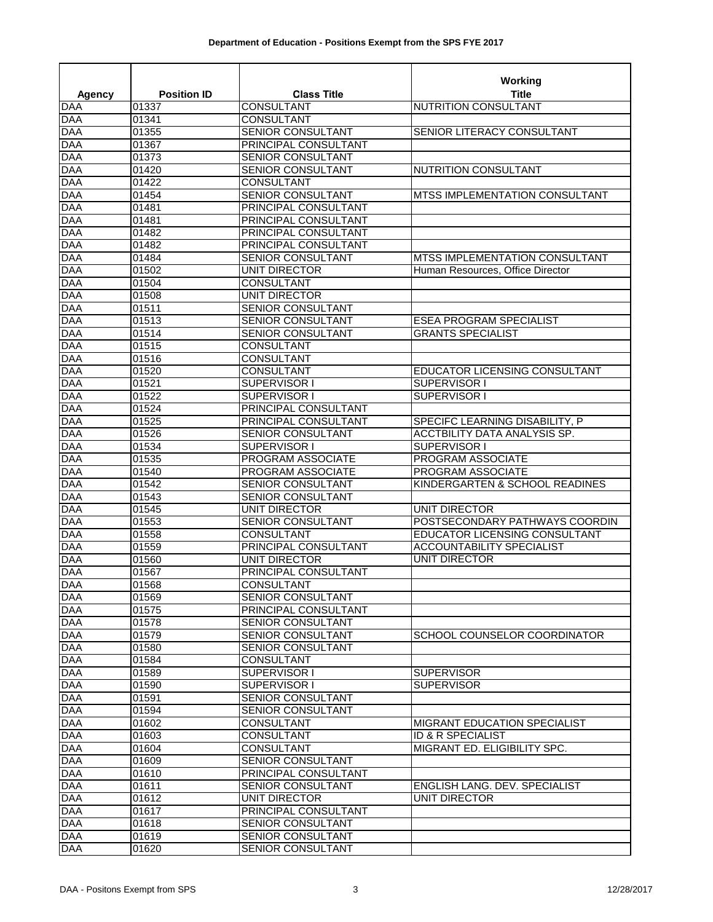| <b>Agency</b>            | <b>Position ID</b> | <b>Class Title</b>                 | Working<br><b>Title</b>                              |
|--------------------------|--------------------|------------------------------------|------------------------------------------------------|
| <b>DAA</b>               | 01337              | <b>CONSULTANT</b>                  | <b>NUTRITION CONSULTANT</b>                          |
| <b>DAA</b>               | 01341              | <b>CONSULTANT</b>                  |                                                      |
| <b>DAA</b>               | 01355              | SENIOR CONSULTANT                  | SENIOR LITERACY CONSULTANT                           |
| <b>DAA</b>               | 01367              | PRINCIPAL CONSULTANT               |                                                      |
| <b>DAA</b>               | 01373              | SENIOR CONSULTANT                  |                                                      |
| <b>DAA</b>               | 01420              | <b>SENIOR CONSULTANT</b>           | NUTRITION CONSULTANT                                 |
| <b>DAA</b>               | 01422              | CONSULTANT                         |                                                      |
| <b>DAA</b>               | 01454              | <b>SENIOR CONSULTANT</b>           | MTSS IMPLEMENTATION CONSULTANT                       |
| <b>DAA</b>               | 01481              | PRINCIPAL CONSULTANT               |                                                      |
| <b>DAA</b>               | 01481              | PRINCIPAL CONSULTANT               |                                                      |
| <b>DAA</b>               | 01482              | PRINCIPAL CONSULTANT               |                                                      |
| <b>DAA</b>               | 01482              | PRINCIPAL CONSULTANT               |                                                      |
| <b>DAA</b>               | 01484              | <b>SENIOR CONSULTANT</b>           | <b>MTSS IMPLEMENTATION CONSULTANT</b>                |
| <b>DAA</b>               | 01502              | UNIT DIRECTOR                      | Human Resources, Office Director                     |
| <b>DAA</b>               | 01504              | CONSULTANT                         |                                                      |
| <b>DAA</b>               | 01508              | <b>UNIT DIRECTOR</b>               |                                                      |
| <b>DAA</b>               | 01511              | SENIOR CONSULTANT                  |                                                      |
| <b>DAA</b>               | 01513              | SENIOR CONSULTANT                  | <b>ESEA PROGRAM SPECIALIST</b>                       |
| <b>DAA</b>               | 01514              | SENIOR CONSULTANT                  | <b>GRANTS SPECIALIST</b>                             |
| <b>DAA</b>               | 01515              | CONSULTANT                         |                                                      |
| <b>DAA</b><br><b>DAA</b> | 01516<br>01520     | CONSULTANT<br><b>CONSULTANT</b>    |                                                      |
| <b>DAA</b>               | 01521              | SUPERVISOR I                       | <b>EDUCATOR LICENSING CONSULTANT</b><br>SUPERVISOR I |
| <b>DAA</b>               | 01522              | SUPERVISOR I                       | SUPERVISOR I                                         |
| <b>DAA</b>               | 01524              | PRINCIPAL CONSULTANT               |                                                      |
| <b>DAA</b>               | 01525              | PRINCIPAL CONSULTANT               | SPECIFC LEARNING DISABILITY, P                       |
| <b>DAA</b>               | 01526              | SENIOR CONSULTANT                  | ACCTBILITY DATA ANALYSIS SP.                         |
| <b>DAA</b>               | 01534              | SUPERVISOR I                       | SUPERVISOR I                                         |
| <b>DAA</b>               | 01535              | PROGRAM ASSOCIATE                  | PROGRAM ASSOCIATE                                    |
| <b>DAA</b>               | 01540              | PROGRAM ASSOCIATE                  | PROGRAM ASSOCIATE                                    |
| <b>DAA</b>               | 01542              | <b>SENIOR CONSULTANT</b>           | KINDERGARTEN & SCHOOL READINES                       |
| <b>DAA</b>               | 01543              | SENIOR CONSULTANT                  |                                                      |
| <b>DAA</b>               | 01545              | UNIT DIRECTOR                      | <b>UNIT DIRECTOR</b>                                 |
| <b>DAA</b>               | 01553              | <b>SENIOR CONSULTANT</b>           | POSTSECONDARY PATHWAYS COORDIN                       |
| <b>DAA</b>               | 01558              | <b>CONSULTANT</b>                  | EDUCATOR LICENSING CONSULTANT                        |
| <b>DAA</b>               | 01559              | PRINCIPAL CONSULTANT               | <b>ACCOUNTABILITY SPECIALIST</b>                     |
| <b>DAA</b>               | 01560              | <b>UNIT DIRECTOR</b>               | <b>UNIT DIRECTOR</b>                                 |
| <b>DAA</b>               | 01567              | PRINCIPAL CONSULTANT               |                                                      |
| <b>DAA</b>               | 01568              | CONSULTANT                         |                                                      |
| <b>DAA</b>               | 01569              | <b>SENIOR CONSULTANT</b>           |                                                      |
| <b>DAA</b>               | 01575              | PRINCIPAL CONSULTANT               |                                                      |
| <b>DAA</b>               | 01578              | SENIOR CONSULTANT                  |                                                      |
| <b>DAA</b>               | 01579              | SENIOR CONSULTANT                  | SCHOOL COUNSELOR COORDINATOR                         |
| <b>DAA</b>               | 01580              | SENIOR CONSULTANT                  |                                                      |
| <b>DAA</b>               | 01584              | CONSULTANT                         |                                                      |
| <b>DAA</b>               | 01589              | SUPERVISOR I                       | <b>SUPERVISOR</b>                                    |
| <b>DAA</b>               | 01590              | SUPERVISOR I                       | <b>SUPERVISOR</b>                                    |
| <b>DAA</b>               | 01591              | <b>SENIOR CONSULTANT</b>           |                                                      |
| <b>DAA</b>               | 01594              | SENIOR CONSULTANT                  |                                                      |
| <b>DAA</b>               | 01602              | <b>CONSULTANT</b>                  | <b>MIGRANT EDUCATION SPECIALIST</b>                  |
| <b>DAA</b>               | 01603              | CONSULTANT                         | ID & R SPECIALIST                                    |
| <b>DAA</b>               | 01604              | CONSULTANT                         | MIGRANT ED. ELIGIBILITY SPC.                         |
| <b>DAA</b><br><b>DAA</b> | 01609              | SENIOR CONSULTANT                  |                                                      |
| <b>DAA</b>               | 01610              | PRINCIPAL CONSULTANT               | ENGLISH LANG. DEV. SPECIALIST                        |
| <b>DAA</b>               | 01611<br>01612     | SENIOR CONSULTANT<br>UNIT DIRECTOR | UNIT DIRECTOR                                        |
| <b>DAA</b>               | 01617              | PRINCIPAL CONSULTANT               |                                                      |
| <b>DAA</b>               | 01618              | SENIOR CONSULTANT                  |                                                      |
| <b>DAA</b>               | 01619              | SENIOR CONSULTANT                  |                                                      |
| <b>DAA</b>               | 01620              | SENIOR CONSULTANT                  |                                                      |
|                          |                    |                                    |                                                      |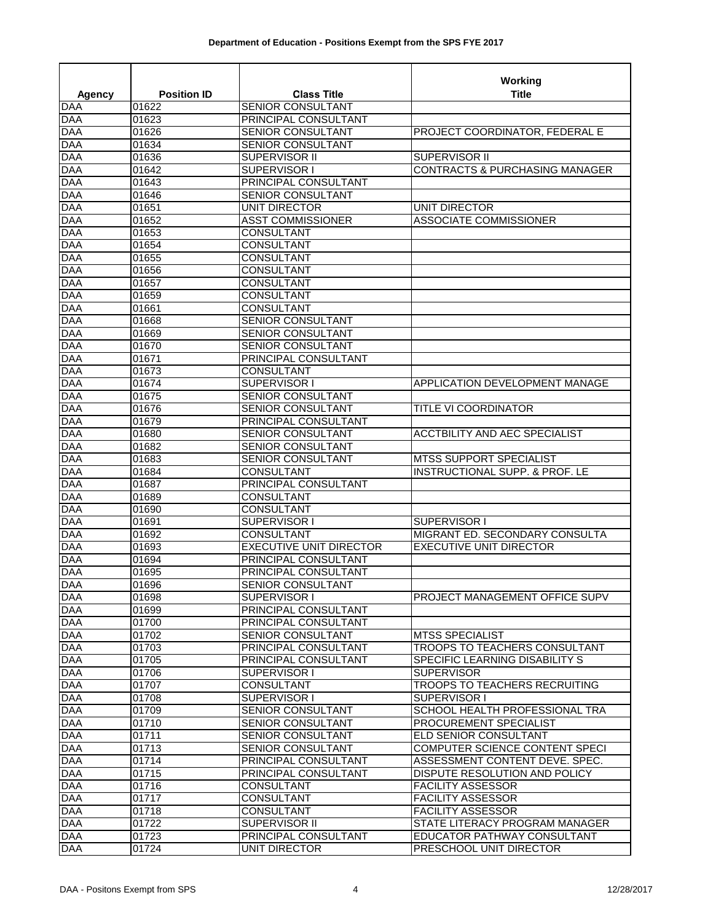|                          |                    |                                                     | Working                                                          |
|--------------------------|--------------------|-----------------------------------------------------|------------------------------------------------------------------|
| Agency                   | <b>Position ID</b> | <b>Class Title</b>                                  | Title                                                            |
| <b>DAA</b>               | 01622              | <b>SENIOR CONSULTANT</b>                            |                                                                  |
| <b>DAA</b>               | 01623              | PRINCIPAL CONSULTANT                                |                                                                  |
| <b>DAA</b>               | 01626              | SENIOR CONSULTANT                                   | PROJECT COORDINATOR, FEDERAL E                                   |
| <b>DAA</b>               | 01634              | SENIOR CONSULTANT                                   |                                                                  |
| <b>DAA</b>               | 01636              | SUPERVISOR II                                       | SUPERVISOR II                                                    |
| <b>DAA</b>               | 01642              | SUPERVISOR I                                        | <b>CONTRACTS &amp; PURCHASING MANAGER</b>                        |
| <b>DAA</b>               | 01643              | PRINCIPAL CONSULTANT                                |                                                                  |
| <b>DAA</b>               | 01646              | SENIOR CONSULTANT                                   |                                                                  |
| <b>DAA</b>               | 01651              | UNIT DIRECTOR                                       | UNIT DIRECTOR                                                    |
| <b>DAA</b>               | 01652              | <b>ASST COMMISSIONER</b>                            | <b>ASSOCIATE COMMISSIONER</b>                                    |
| <b>DAA</b>               | 01653              | <b>CONSULTANT</b>                                   |                                                                  |
| <b>DAA</b>               | 01654              | CONSULTANT                                          |                                                                  |
| <b>DAA</b>               | 01655              | <b>CONSULTANT</b>                                   |                                                                  |
| <b>DAA</b>               | 01656              | CONSULTANT                                          |                                                                  |
| <b>DAA</b>               | 01657              | CONSULTANT                                          |                                                                  |
| <b>DAA</b>               | 01659              | <b>CONSULTANT</b>                                   |                                                                  |
| <b>DAA</b>               | 01661              | CONSULTANT                                          |                                                                  |
| <b>DAA</b>               | 01668              | SENIOR CONSULTANT                                   |                                                                  |
| <b>DAA</b>               | 01669              | SENIOR CONSULTANT                                   |                                                                  |
| <b>DAA</b>               | 01670              | <b>SENIOR CONSULTANT</b>                            |                                                                  |
| <b>DAA</b>               | 01671              | PRINCIPAL CONSULTANT                                |                                                                  |
| <b>DAA</b>               | 01673              | <b>CONSULTANT</b>                                   |                                                                  |
| <b>DAA</b>               | 01674              | SUPERVISOR I                                        | APPLICATION DEVELOPMENT MANAGE                                   |
| <b>DAA</b>               | 01675              | <b>SENIOR CONSULTANT</b>                            |                                                                  |
| <b>DAA</b>               | 01676              | <b>SENIOR CONSULTANT</b>                            | TITLE VI COORDINATOR                                             |
| <b>DAA</b>               | 01679              | PRINCIPAL CONSULTANT                                |                                                                  |
| <b>DAA</b>               | 01680              | SENIOR CONSULTANT                                   | <b>ACCTBILITY AND AEC SPECIALIST</b>                             |
| <b>DAA</b>               | 01682              | SENIOR CONSULTANT                                   |                                                                  |
| <b>DAA</b>               | 01683              | <b>SENIOR CONSULTANT</b>                            | <b>MTSS SUPPORT SPECIALIST</b>                                   |
| <b>DAA</b>               | 01684              | <b>CONSULTANT</b>                                   | INSTRUCTIONAL SUPP. & PROF. LE                                   |
| <b>DAA</b>               | 01687              | PRINCIPAL CONSULTANT                                |                                                                  |
| <b>DAA</b>               | 01689              | <b>CONSULTANT</b>                                   |                                                                  |
| <b>DAA</b>               | 01690              | <b>CONSULTANT</b>                                   |                                                                  |
| <b>DAA</b>               | 01691              | SUPERVISOR I                                        | SUPERVISOR I                                                     |
| <b>DAA</b><br><b>DAA</b> | 01692<br>01693     | <b>CONSULTANT</b><br><b>EXECUTIVE UNIT DIRECTOR</b> | MIGRANT ED. SECONDARY CONSULTA<br><b>EXECUTIVE UNIT DIRECTOR</b> |
| <b>DAA</b>               | 01694              | PRINCIPAL CONSULTANT                                |                                                                  |
| <b>DAA</b>               | 01695              | PRINCIPAL CONSULTANT                                |                                                                  |
| <b>DAA</b>               | 01696              | <b>SENIOR CONSULTANT</b>                            |                                                                  |
| <b>DAA</b>               | 01698              | SUPERVISOR I                                        | PROJECT MANAGEMENT OFFICE SUPV                                   |
| <b>DAA</b>               | 01699              | PRINCIPAL CONSULTANT                                |                                                                  |
| <b>DAA</b>               | 01700              | PRINCIPAL CONSULTANT                                |                                                                  |
| <b>DAA</b>               | 01702              | SENIOR CONSULTANT                                   | <b>MTSS SPECIALIST</b>                                           |
| <b>DAA</b>               | 01703              | PRINCIPAL CONSULTANT                                | TROOPS TO TEACHERS CONSULTANT                                    |
| <b>DAA</b>               | 01705              | PRINCIPAL CONSULTANT                                | SPECIFIC LEARNING DISABILITY S                                   |
| <b>DAA</b>               | 01706              | SUPERVISOR I                                        | <b>SUPERVISOR</b>                                                |
| <b>DAA</b>               | 01707              | <b>CONSULTANT</b>                                   | <b>TROOPS TO TEACHERS RECRUITING</b>                             |
| <b>DAA</b>               | 01708              | SUPERVISOR I                                        | SUPERVISOR I                                                     |
| <b>DAA</b>               | 01709              | SENIOR CONSULTANT                                   | SCHOOL HEALTH PROFESSIONAL TRA                                   |
| <b>DAA</b>               | 01710              | SENIOR CONSULTANT                                   | PROCUREMENT SPECIALIST                                           |
| <b>DAA</b>               | 01711              | SENIOR CONSULTANT                                   | ELD SENIOR CONSULTANT                                            |
| <b>DAA</b>               | 01713              | SENIOR CONSULTANT                                   | COMPUTER SCIENCE CONTENT SPECI                                   |
| <b>DAA</b>               | 01714              | PRINCIPAL CONSULTANT                                | ASSESSMENT CONTENT DEVE. SPEC.                                   |
| <b>DAA</b>               | 01715              | PRINCIPAL CONSULTANT                                | DISPUTE RESOLUTION AND POLICY                                    |
| <b>DAA</b>               | 01716              | CONSULTANT                                          | <b>FACILITY ASSESSOR</b>                                         |
| <b>DAA</b>               | 01717              | CONSULTANT                                          | <b>FACILITY ASSESSOR</b>                                         |
| <b>DAA</b>               | 01718              | <b>CONSULTANT</b>                                   | <b>FACILITY ASSESSOR</b>                                         |
| <b>DAA</b>               | 01722              | SUPERVISOR II                                       | STATE LITERACY PROGRAM MANAGER                                   |
| <b>DAA</b>               | 01723              | PRINCIPAL CONSULTANT                                | EDUCATOR PATHWAY CONSULTANT                                      |
| <b>DAA</b>               | 01724              | UNIT DIRECTOR                                       | PRESCHOOL UNIT DIRECTOR                                          |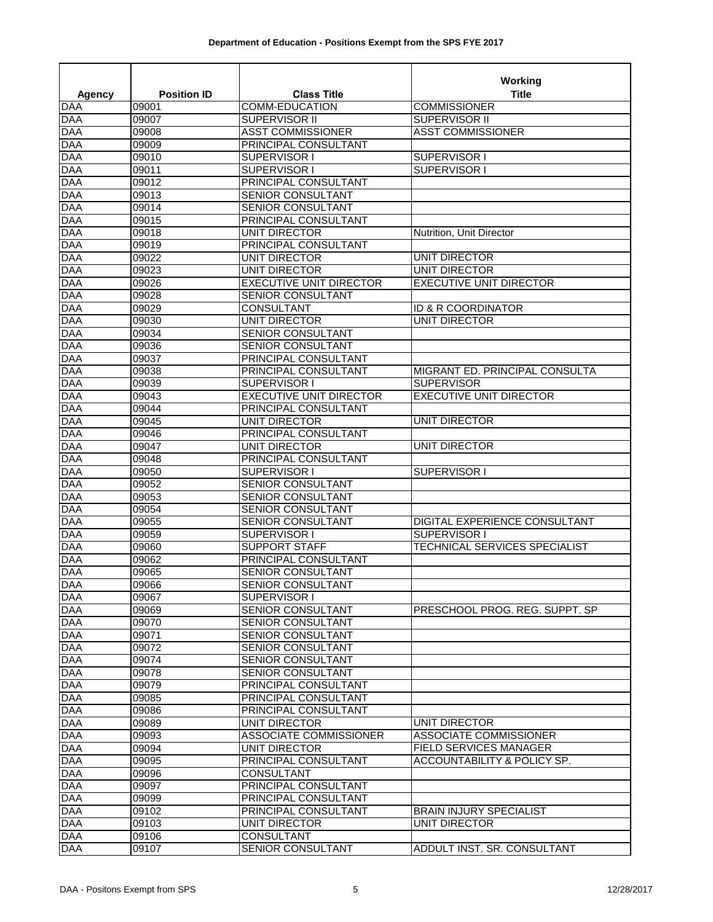|                          |                    |                                                      | Working                              |  |
|--------------------------|--------------------|------------------------------------------------------|--------------------------------------|--|
| Agency                   | <b>Position ID</b> | <b>Class Title</b>                                   | <b>Title</b>                         |  |
| <b>DAA</b>               | 09001              | <b>COMM-EDUCATION</b>                                | <b>COMMISSIONER</b>                  |  |
| <b>DAA</b>               | 09007              | SUPERVISOR II                                        | SUPERVISOR II                        |  |
| <b>DAA</b>               | 09008              | <b>ASST COMMISSIONER</b>                             | <b>ASST COMMISSIONER</b>             |  |
| <b>DAA</b>               | 09009              | PRINCIPAL CONSULTANT                                 |                                      |  |
| <b>DAA</b>               | 09010              | SUPERVISOR I                                         | SUPERVISOR I                         |  |
| <b>DAA</b>               | 09011              | SUPERVISOR I                                         | SUPERVISOR I                         |  |
| <b>DAA</b>               | 09012              | PRINCIPAL CONSULTANT                                 |                                      |  |
| <b>DAA</b>               | 09013              | <b>SENIOR CONSULTANT</b>                             |                                      |  |
| <b>DAA</b>               | 09014              | <b>SENIOR CONSULTANT</b>                             |                                      |  |
| <b>DAA</b><br><b>DAA</b> | 09015<br>09018     | PRINCIPAL CONSULTANT<br>UNIT DIRECTOR                | Nutrition, Unit Director             |  |
| <b>DAA</b>               | 09019              | PRINCIPAL CONSULTANT                                 |                                      |  |
| <b>DAA</b>               | 09022              | <b>UNIT DIRECTOR</b>                                 | <b>UNIT DIRECTOR</b>                 |  |
| <b>DAA</b>               | 09023              | UNIT DIRECTOR                                        | UNIT DIRECTOR                        |  |
| <b>DAA</b>               | 09026              | <b>EXECUTIVE UNIT DIRECTOR</b>                       | <b>EXECUTIVE UNIT DIRECTOR</b>       |  |
| <b>DAA</b>               | 09028              | SENIOR CONSULTANT                                    |                                      |  |
| <b>DAA</b>               | 09029              | <b>CONSULTANT</b>                                    | ID & R COORDINATOR                   |  |
| <b>DAA</b>               | 09030              | UNIT DIRECTOR                                        | <b>UNIT DIRECTOR</b>                 |  |
| <b>DAA</b>               | 09034              | <b>SENIOR CONSULTANT</b>                             |                                      |  |
| <b>DAA</b>               | 09036              | SENIOR CONSULTANT                                    |                                      |  |
| <b>DAA</b>               | 09037              | PRINCIPAL CONSULTANT                                 |                                      |  |
| <b>DAA</b>               | 09038              | PRINCIPAL CONSULTANT                                 | MIGRANT ED. PRINCIPAL CONSULTA       |  |
| <b>DAA</b>               | 09039              | SUPERVISOR I                                         | <b>SUPERVISOR</b>                    |  |
| <b>DAA</b>               | 09043              | <b>EXECUTIVE UNIT DIRECTOR</b>                       | <b>EXECUTIVE UNIT DIRECTOR</b>       |  |
| <b>DAA</b>               | 09044              | PRINCIPAL CONSULTANT                                 |                                      |  |
| <b>DAA</b>               | 09045              | UNIT DIRECTOR                                        | UNIT DIRECTOR                        |  |
| <b>DAA</b>               | 09046              | PRINCIPAL CONSULTANT                                 |                                      |  |
| <b>DAA</b>               | 09047              | <b>UNIT DIRECTOR</b>                                 | <b>UNIT DIRECTOR</b>                 |  |
| <b>DAA</b>               | 09048              | PRINCIPAL CONSULTANT                                 |                                      |  |
| <b>DAA</b>               | 09050              | SUPERVISOR I                                         | SUPERVISOR I                         |  |
| <b>DAA</b>               | 09052              | <b>SENIOR CONSULTANT</b>                             |                                      |  |
| <b>DAA</b>               | 09053              | SENIOR CONSULTANT                                    |                                      |  |
| <b>DAA</b>               | 09054              | SENIOR CONSULTANT                                    |                                      |  |
| <b>DAA</b>               | 09055              | SENIOR CONSULTANT                                    | DIGITAL EXPERIENCE CONSULTANT        |  |
| <b>DAA</b>               | 09059              | SUPERVISOR I                                         | <b>SUPERVISOR I</b>                  |  |
| <b>DAA</b>               | 09060              | <b>SUPPORT STAFF</b>                                 | <b>TECHNICAL SERVICES SPECIALIST</b> |  |
| <b>DAA</b>               | 09062              | PRINCIPAL CONSULTANT                                 |                                      |  |
| <b>DAA</b>               | 09065              | SENIOR CONSULTANT                                    |                                      |  |
| <b>DAA</b>               | 09066              | <b>SENIOR CONSULTANT</b>                             |                                      |  |
| <b>DAA</b>               | 09067              | SUPERVISOR I                                         |                                      |  |
| <b>DAA</b>               | 09069              | <b>SENIOR CONSULTANT</b>                             | PRESCHOOL PROG. REG. SUPPT. SP       |  |
| <b>DAA</b>               | 09070              | SENIOR CONSULTANT                                    |                                      |  |
| <b>DAA</b>               | 09071              | SENIOR CONSULTANT                                    |                                      |  |
| <b>DAA</b><br><b>DAA</b> | 09072              | SENIOR CONSULTANT                                    |                                      |  |
| <b>DAA</b>               | 09074<br>09078     | <b>SENIOR CONSULTANT</b><br><b>SENIOR CONSULTANT</b> |                                      |  |
| <b>DAA</b>               | 09079              | PRINCIPAL CONSULTANT                                 |                                      |  |
| <b>DAA</b>               | 09085              | PRINCIPAL CONSULTANT                                 |                                      |  |
| <b>DAA</b>               | 09086              | PRINCIPAL CONSULTANT                                 |                                      |  |
| <b>DAA</b>               | 09089              | UNIT DIRECTOR                                        | <b>UNIT DIRECTOR</b>                 |  |
| <b>DAA</b>               | 09093              | ASSOCIATE COMMISSIONER                               | ASSOCIATE COMMISSIONER               |  |
| <b>DAA</b>               | 09094              | UNIT DIRECTOR                                        | <b>FIELD SERVICES MANAGER</b>        |  |
| <b>DAA</b>               | 09095              | PRINCIPAL CONSULTANT                                 | ACCOUNTABILITY & POLICY SP.          |  |
| <b>DAA</b>               | 09096              | CONSULTANT                                           |                                      |  |
| <b>DAA</b>               | 09097              | PRINCIPAL CONSULTANT                                 |                                      |  |
| <b>DAA</b>               | 09099              | PRINCIPAL CONSULTANT                                 |                                      |  |
| <b>DAA</b>               | 09102              | PRINCIPAL CONSULTANT                                 | <b>BRAIN INJURY SPECIALIST</b>       |  |
| <b>DAA</b>               | 09103              | UNIT DIRECTOR                                        | UNIT DIRECTOR                        |  |
| <b>DAA</b>               | 09106              | <b>CONSULTANT</b>                                    |                                      |  |
| <b>DAA</b>               | 09107              | <b>SENIOR CONSULTANT</b>                             | ADDULT INST. SR. CONSULTANT          |  |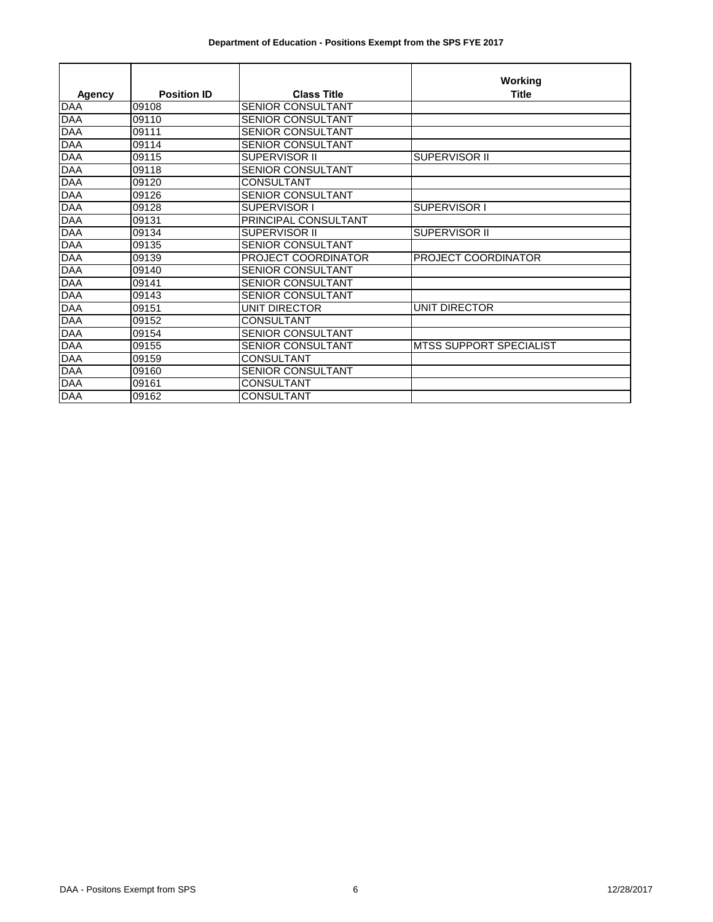|            |                    |                          | Working                        |
|------------|--------------------|--------------------------|--------------------------------|
| Agency     | <b>Position ID</b> | <b>Class Title</b>       | <b>Title</b>                   |
| <b>DAA</b> | 09108              | <b>SENIOR CONSULTANT</b> |                                |
| <b>DAA</b> | 09110              | <b>SENIOR CONSULTANT</b> |                                |
| <b>DAA</b> | 09111              | SENIOR CONSULTANT        |                                |
| <b>DAA</b> | 09114              | <b>SENIOR CONSULTANT</b> |                                |
| <b>DAA</b> | 09115              | SUPERVISOR II            | <b>SUPERVISOR II</b>           |
| <b>DAA</b> | 09118              | SENIOR CONSULTANT        |                                |
| <b>DAA</b> | 09120              | <b>CONSULTANT</b>        |                                |
| <b>DAA</b> | 09126              | <b>SENIOR CONSULTANT</b> |                                |
| <b>DAA</b> | 09128              | SUPERVISOR I             | SUPERVISOR I                   |
| <b>DAA</b> | 09131              | PRINCIPAL CONSULTANT     |                                |
| <b>DAA</b> | 09134              | <b>SUPERVISOR II</b>     | SUPERVISOR II                  |
| <b>DAA</b> | 09135              | <b>SENIOR CONSULTANT</b> |                                |
| <b>DAA</b> | 09139              | PROJECT COORDINATOR      | PROJECT COORDINATOR            |
| <b>DAA</b> | 09140              | SENIOR CONSULTANT        |                                |
| <b>DAA</b> | 09141              | <b>SENIOR CONSULTANT</b> |                                |
| <b>DAA</b> | 09143              | SENIOR CONSULTANT        |                                |
| <b>DAA</b> | 09151              | UNIT DIRECTOR            | <b>UNIT DIRECTOR</b>           |
| <b>DAA</b> | 09152              | <b>CONSULTANT</b>        |                                |
| <b>DAA</b> | 09154              | <b>SENIOR CONSULTANT</b> |                                |
| <b>DAA</b> | 09155              | <b>SENIOR CONSULTANT</b> | <b>MTSS SUPPORT SPECIALIST</b> |
| <b>DAA</b> | 09159              | <b>CONSULTANT</b>        |                                |
| <b>DAA</b> | 09160              | SENIOR CONSULTANT        |                                |
| DAA        | 09161              | <b>CONSULTANT</b>        |                                |
| <b>DAA</b> | 09162              | <b>CONSULTANT</b>        |                                |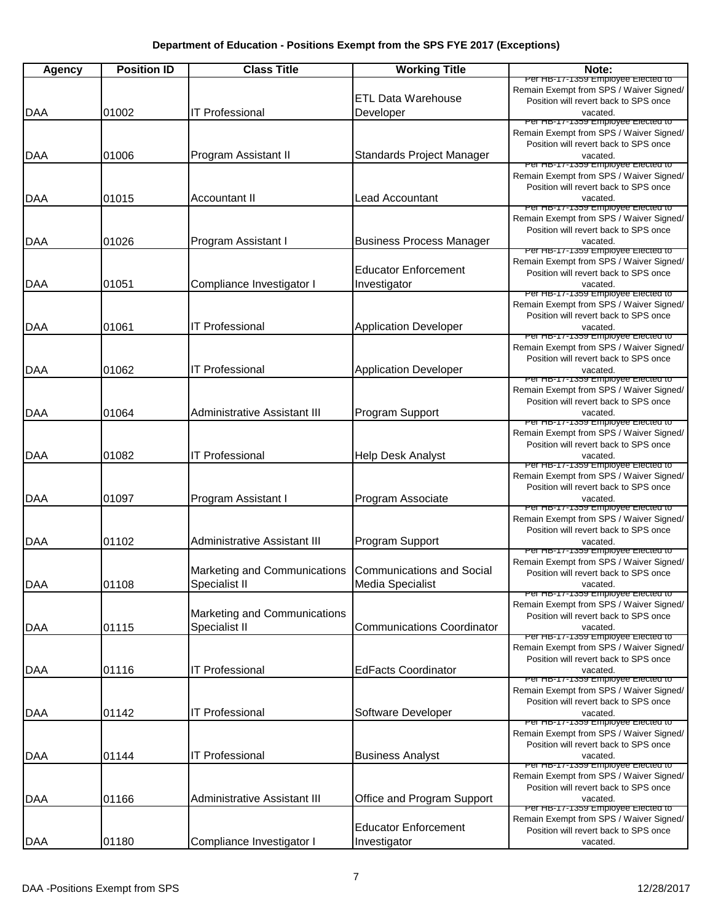| <b>Agency</b> | <b>Position ID</b> | <b>Class Title</b>                  | <b>Working Title</b>              | Note:                                                                            |
|---------------|--------------------|-------------------------------------|-----------------------------------|----------------------------------------------------------------------------------|
|               |                    |                                     |                                   | Per HB-17-1359 Employee Elected to                                               |
|               |                    |                                     | <b>ETL Data Warehouse</b>         | Remain Exempt from SPS / Waiver Signed/<br>Position will revert back to SPS once |
| <b>DAA</b>    | 01002              | <b>IT Professional</b>              | Developer                         | vacated.                                                                         |
|               |                    |                                     |                                   | Per HB-17-1359 Employee Elected to                                               |
|               |                    |                                     |                                   | Remain Exempt from SPS / Waiver Signed/<br>Position will revert back to SPS once |
| <b>DAA</b>    | 01006              | Program Assistant II                | Standards Project Manager         | vacated.                                                                         |
|               |                    |                                     |                                   | Per HB-17-1359 Employee Elected to                                               |
|               |                    |                                     |                                   | Remain Exempt from SPS / Waiver Signed/<br>Position will revert back to SPS once |
| <b>DAA</b>    | 01015              | <b>Accountant II</b>                | <b>Lead Accountant</b>            | vacated.                                                                         |
|               |                    |                                     |                                   | Per HB-17-1359 Employee Elected to                                               |
|               |                    |                                     |                                   | Remain Exempt from SPS / Waiver Signed/<br>Position will revert back to SPS once |
| <b>DAA</b>    | 01026              | Program Assistant I                 | <b>Business Process Manager</b>   | vacated.                                                                         |
|               |                    |                                     |                                   | Per HB-17-1359 Employee Elected to                                               |
|               |                    |                                     | <b>Educator Enforcement</b>       | Remain Exempt from SPS / Waiver Signed/<br>Position will revert back to SPS once |
| DAA           | 01051              | Compliance Investigator I           | Investigator                      | vacated.                                                                         |
|               |                    |                                     |                                   | Per HB-17-1359 Employee Elected to                                               |
|               |                    |                                     |                                   | Remain Exempt from SPS / Waiver Signed/<br>Position will revert back to SPS once |
| <b>DAA</b>    | 01061              | <b>IT Professional</b>              | <b>Application Developer</b>      | vacated.                                                                         |
|               |                    |                                     |                                   | Per HB-17-1359 Employee Elected to                                               |
|               |                    |                                     |                                   | Remain Exempt from SPS / Waiver Signed/<br>Position will revert back to SPS once |
| <b>DAA</b>    | 01062              | <b>IT Professional</b>              | <b>Application Developer</b>      | vacated.                                                                         |
|               |                    |                                     |                                   | Per HB-17-1359 Employee Elected to                                               |
|               |                    |                                     |                                   | Remain Exempt from SPS / Waiver Signed/                                          |
| <b>DAA</b>    | 01064              | <b>Administrative Assistant III</b> | Program Support                   | Position will revert back to SPS once<br>vacated.                                |
|               |                    |                                     |                                   | Per HB-17-1359 Employee Elected to                                               |
|               |                    |                                     |                                   | Remain Exempt from SPS / Waiver Signed/                                          |
| <b>DAA</b>    | 01082              | <b>IT Professional</b>              | <b>Help Desk Analyst</b>          | Position will revert back to SPS once<br>vacated.                                |
|               |                    |                                     |                                   | Per HB-17-1359 Employee Elected to                                               |
|               |                    |                                     |                                   | Remain Exempt from SPS / Waiver Signed/                                          |
| <b>DAA</b>    | 01097              | Program Assistant I                 | Program Associate                 | Position will revert back to SPS once<br>vacated.                                |
|               |                    |                                     |                                   | Per HB-17-1359 Employee Elected to                                               |
|               |                    |                                     |                                   | Remain Exempt from SPS / Waiver Signed/                                          |
| <b>DAA</b>    | 01102              | Administrative Assistant III        | Program Support                   | Position will revert back to SPS once<br>vacated.                                |
|               |                    |                                     |                                   | Per HB-17-1359 Employee Elected to                                               |
|               |                    | Marketing and Communications        | <b>Communications and Social</b>  | Remain Exempt from SPS / Waiver Signed/                                          |
| <b>DAA</b>    | 01108              | Specialist II                       | Media Specialist                  | Position will revert back to SPS once<br>vacated.                                |
|               |                    |                                     |                                   | Per HB-17-1359 Employee Elected to                                               |
|               |                    | Marketing and Communications        |                                   | Remain Exempt from SPS / Waiver Signed/                                          |
| DAA           | 01115              | Specialist II                       | <b>Communications Coordinator</b> | Position will revert back to SPS once<br>vacated.                                |
|               |                    |                                     |                                   | Per HB-17-1359 Employee Elected to                                               |
|               |                    |                                     |                                   | Remain Exempt from SPS / Waiver Signed/                                          |
| DAA           | 01116              | <b>IT Professional</b>              | <b>EdFacts Coordinator</b>        | Position will revert back to SPS once<br>vacated.                                |
|               |                    |                                     |                                   | Per HB-17-1359 Employee Elected to                                               |
|               |                    |                                     |                                   | Remain Exempt from SPS / Waiver Signed/                                          |
| <b>DAA</b>    | 01142              | <b>IT Professional</b>              | Software Developer                | Position will revert back to SPS once<br>vacated.                                |
|               |                    |                                     |                                   | Per HB-17-1359 Employee Elected to                                               |
|               |                    |                                     |                                   | Remain Exempt from SPS / Waiver Signed/                                          |
| <b>DAA</b>    | 01144              | <b>IT Professional</b>              | <b>Business Analyst</b>           | Position will revert back to SPS once<br>vacated.                                |
|               |                    |                                     |                                   | Per HB-17-1359 Employee Elected to                                               |
|               |                    |                                     |                                   | Remain Exempt from SPS / Waiver Signed/                                          |
| <b>DAA</b>    | 01166              | Administrative Assistant III        | Office and Program Support        | Position will revert back to SPS once<br>vacated.                                |
|               |                    |                                     |                                   | Per HB-17-1359 Employee Elected to                                               |
|               |                    |                                     | <b>Educator Enforcement</b>       | Remain Exempt from SPS / Waiver Signed/                                          |
| DAA           | 01180              | Compliance Investigator I           | Investigator                      | Position will revert back to SPS once<br>vacated.                                |
|               |                    |                                     |                                   |                                                                                  |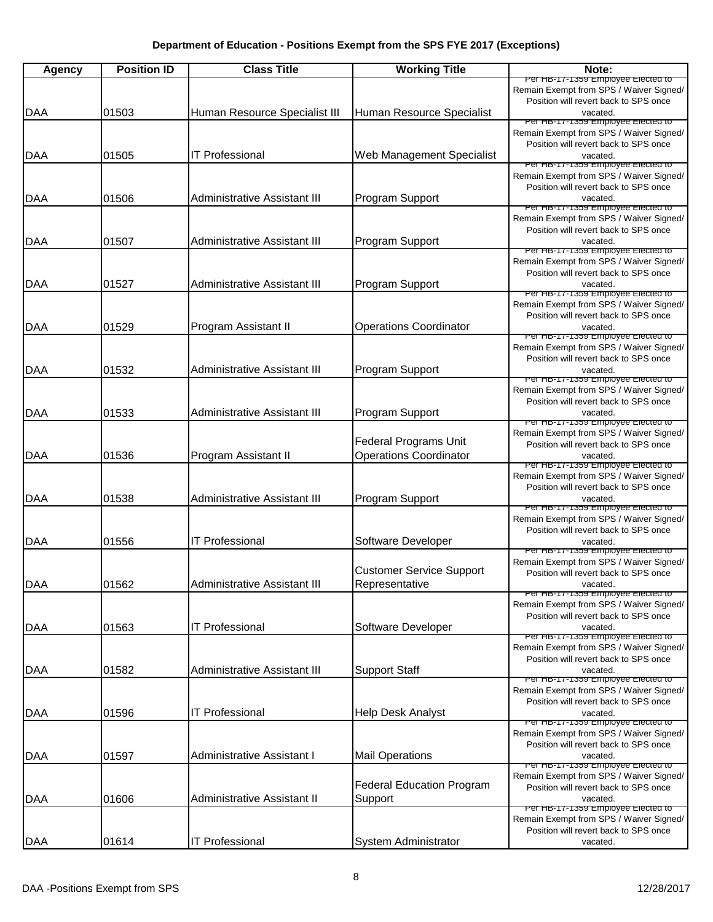| Agency     | <b>Position ID</b> | <b>Class Title</b>                  | <b>Working Title</b>             | Note:                                                                            |
|------------|--------------------|-------------------------------------|----------------------------------|----------------------------------------------------------------------------------|
|            |                    |                                     |                                  | Per HB-17-1359 Employee Elected to<br>Remain Exempt from SPS / Waiver Signed/    |
|            |                    |                                     |                                  | Position will revert back to SPS once                                            |
| <b>DAA</b> | 01503              | Human Resource Specialist III       | Human Resource Specialist        | vacated.                                                                         |
|            |                    |                                     |                                  | Per HB-17-1359 Employee Elected to<br>Remain Exempt from SPS / Waiver Signed/    |
|            |                    |                                     |                                  | Position will revert back to SPS once                                            |
| DAA        | 01505              | <b>IT Professional</b>              | Web Management Specialist        | vacated.<br>Per HB-17-1359 Employee Elected to                                   |
|            |                    |                                     |                                  | Remain Exempt from SPS / Waiver Signed/                                          |
|            |                    |                                     |                                  | Position will revert back to SPS once                                            |
| <b>DAA</b> | 01506              | Administrative Assistant III        | Program Support                  | vacated.<br>Per HB-17-1359 Employee Elected to                                   |
|            |                    |                                     |                                  | Remain Exempt from SPS / Waiver Signed/                                          |
|            |                    |                                     |                                  | Position will revert back to SPS once                                            |
| DAA        | 01507              | Administrative Assistant III        | Program Support                  | vacated.<br>Per HB-17-1359 Employee Elected to                                   |
|            |                    |                                     |                                  | Remain Exempt from SPS / Waiver Signed/                                          |
|            | 01527              | Administrative Assistant III        | Program Support                  | Position will revert back to SPS once                                            |
| DAA        |                    |                                     |                                  | vacated.<br>Per HB-17-1359 Employee Elected to                                   |
|            |                    |                                     |                                  | Remain Exempt from SPS / Waiver Signed/                                          |
| <b>DAA</b> | 01529              | Program Assistant II                | <b>Operations Coordinator</b>    | Position will revert back to SPS once<br>vacated.                                |
|            |                    |                                     |                                  | Per HB-17-1359 Employee Elected to                                               |
|            |                    |                                     |                                  | Remain Exempt from SPS / Waiver Signed/                                          |
| <b>DAA</b> | 01532              | <b>Administrative Assistant III</b> | Program Support                  | Position will revert back to SPS once<br>vacated.                                |
|            |                    |                                     |                                  | Per HB-17-1359 Employee Elected to                                               |
|            |                    |                                     |                                  | Remain Exempt from SPS / Waiver Signed/                                          |
| <b>DAA</b> | 01533              | <b>Administrative Assistant III</b> | Program Support                  | Position will revert back to SPS once<br>vacated.                                |
|            |                    |                                     |                                  | Per HB-17-1359 Employee Elected to                                               |
|            |                    |                                     | <b>Federal Programs Unit</b>     | Remain Exempt from SPS / Waiver Signed/<br>Position will revert back to SPS once |
| <b>DAA</b> | 01536              | Program Assistant II                | <b>Operations Coordinator</b>    | vacated.                                                                         |
|            |                    |                                     |                                  | Per HB-17-1359 Employee Elected to                                               |
|            |                    |                                     |                                  | Remain Exempt from SPS / Waiver Signed/<br>Position will revert back to SPS once |
| IDAA       | 01538              | Administrative Assistant III        | Program Support                  | vacated.                                                                         |
|            |                    |                                     |                                  | Per HB-17-1359 Employee Elected to<br>Remain Exempt from SPS / Waiver Signed/    |
|            |                    |                                     |                                  | Position will revert back to SPS once                                            |
| DAA        | 01556              | <b>IT Professional</b>              | Software Developer               | vacated.                                                                         |
|            |                    |                                     |                                  | Per HB-17-1359 Employee Elected to<br>Remain Exempt from SPS / Waiver Signed/    |
|            |                    |                                     | <b>Customer Service Support</b>  | Position will revert back to SPS once                                            |
| DAA        | 01562              | <b>Administrative Assistant III</b> | Representative                   | vacated.                                                                         |
|            |                    |                                     |                                  | Per HB-17-1359 Employee Elected to<br>Remain Exempt from SPS / Waiver Signed/    |
|            |                    |                                     |                                  | Position will revert back to SPS once                                            |
| DAA        | 01563              | <b>IT Professional</b>              | Software Developer               | vacated.<br>Per HB-17-1359 Employee Elected to                                   |
|            |                    |                                     |                                  | Remain Exempt from SPS / Waiver Signed/                                          |
|            |                    |                                     |                                  | Position will revert back to SPS once                                            |
| <b>DAA</b> | 01582              | Administrative Assistant III        | <b>Support Staff</b>             | vacated.<br>Per HB-17-1359 Employee Elected to                                   |
|            |                    |                                     |                                  | Remain Exempt from SPS / Waiver Signed/                                          |
|            |                    |                                     |                                  | Position will revert back to SPS once                                            |
| DAA        | 01596              | <b>IT Professional</b>              | <b>Help Desk Analyst</b>         | vacated.<br>Per HB-17-1359 Employee Elected to                                   |
|            |                    |                                     |                                  | Remain Exempt from SPS / Waiver Signed/                                          |
|            |                    |                                     |                                  | Position will revert back to SPS once                                            |
| <b>DAA</b> | 01597              | Administrative Assistant I          | <b>Mail Operations</b>           | vacated.<br>Per HB-17-1359 Employee Elected to                                   |
|            |                    |                                     |                                  | Remain Exempt from SPS / Waiver Signed/                                          |
|            |                    |                                     | <b>Federal Education Program</b> | Position will revert back to SPS once                                            |
| DAA        | 01606              | Administrative Assistant II         | Support                          | vacated.<br>Per HB-17-1359 Employee Elected to                                   |
|            |                    |                                     |                                  | Remain Exempt from SPS / Waiver Signed/                                          |
|            | 01614              | <b>IT Professional</b>              | System Administrator             | Position will revert back to SPS once<br>vacated.                                |
| <b>DAA</b> |                    |                                     |                                  |                                                                                  |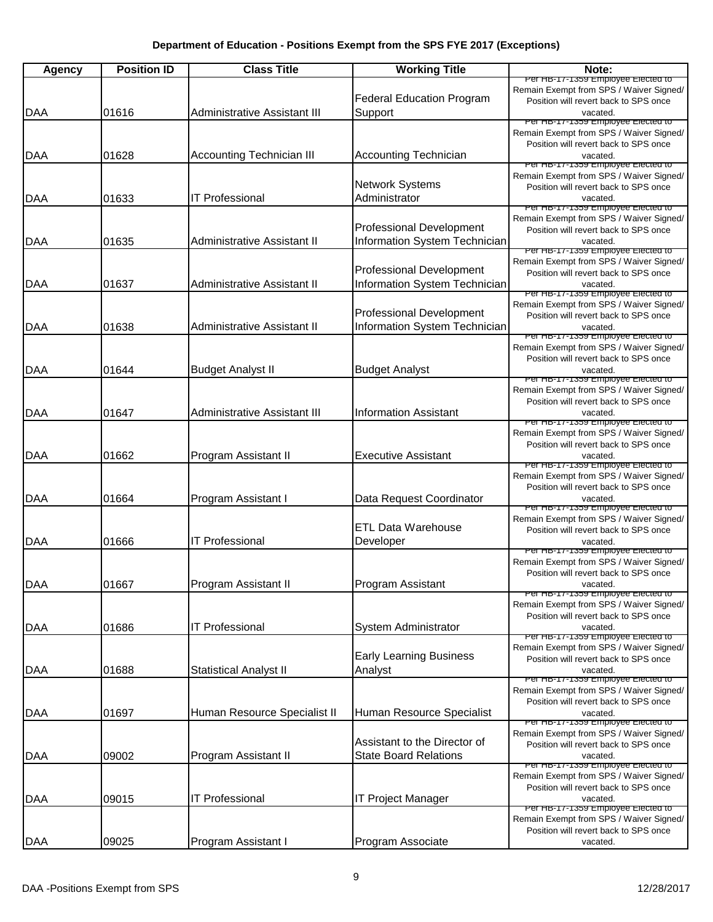| <b>Agency</b> | <b>Position ID</b> | <b>Class Title</b>                  | <b>Working Title</b>                                             | Note:                                                                                                                                                                    |
|---------------|--------------------|-------------------------------------|------------------------------------------------------------------|--------------------------------------------------------------------------------------------------------------------------------------------------------------------------|
| <b>DAA</b>    | 01616              | <b>Administrative Assistant III</b> | <b>Federal Education Program</b><br>Support                      | Per HB-17-1359 Employee Elected to<br>Remain Exempt from SPS / Waiver Signed/<br>Position will revert back to SPS once<br>vacated.                                       |
| <b>DAA</b>    | 01628              | <b>Accounting Technician III</b>    | <b>Accounting Technician</b>                                     | Per HB-17-1359 Employee Elected to<br>Remain Exempt from SPS / Waiver Signed/<br>Position will revert back to SPS once<br>vacated.                                       |
| DAA           | 01633              | <b>IT Professional</b>              | <b>Network Systems</b><br>Administrator                          | Per HB-17-1359 Employee Elected to<br>Remain Exempt from SPS / Waiver Signed/<br>Position will revert back to SPS once<br>vacated.                                       |
| <b>DAA</b>    | 01635              | Administrative Assistant II         | <b>Professional Development</b><br>Information System Technician | Per HB-17-1359 Employee Elected to<br>Remain Exempt from SPS / Waiver Signed/<br>Position will revert back to SPS once<br>vacated.                                       |
| <b>DAA</b>    | 01637              | Administrative Assistant II         | Professional Development<br>Information System Technician        | Per HB-17-1359 Employee Elected to<br>Remain Exempt from SPS / Waiver Signed/<br>Position will revert back to SPS once<br>vacated.<br>Per HB-17-1359 Employee Elected to |
| <b>DAA</b>    | 01638              | Administrative Assistant II         | Professional Development<br>Information System Technician        | Remain Exempt from SPS / Waiver Signed/<br>Position will revert back to SPS once<br>vacated.<br>Per HB-17-1359 Employee Elected to                                       |
| <b>DAA</b>    | 01644              | <b>Budget Analyst II</b>            | <b>Budget Analyst</b>                                            | Remain Exempt from SPS / Waiver Signed/<br>Position will revert back to SPS once<br>vacated.<br>Per HB-17-1359 Employee Elected to                                       |
| <b>DAA</b>    | 01647              | <b>Administrative Assistant III</b> | <b>Information Assistant</b>                                     | Remain Exempt from SPS / Waiver Signed/<br>Position will revert back to SPS once<br>vacated.                                                                             |
| <b>DAA</b>    | 01662              | Program Assistant II                | <b>Executive Assistant</b>                                       | Per HB-17-1359 Employee Elected to<br>Remain Exempt from SPS / Waiver Signed/<br>Position will revert back to SPS once<br>vacated.                                       |
| DAA           | 01664              | Program Assistant I                 | Data Request Coordinator                                         | Per HB-17-1359 Employee Elected to<br>Remain Exempt from SPS / Waiver Signed/<br>Position will revert back to SPS once<br>vacated.                                       |
| <b>DAA</b>    | 01666              | <b>IT Professional</b>              | <b>ETL Data Warehouse</b><br>Developer                           | Per HB-17-1359 Employee Elected to<br>Remain Exempt from SPS / Waiver Signed/<br>Position will revert back to SPS once<br>vacated.                                       |
| IDAA          | 01667              | Program Assistant II                | Program Assistant                                                | Per HB-17-1359 Employee Elected to<br>Remain Exempt from SPS / Waiver Signed/<br>Position will revert back to SPS once<br>vacated.<br>Per HB-17-1359 Employee Elected to |
| DAA           | 01686              | <b>IT Professional</b>              | <b>System Administrator</b>                                      | Remain Exempt from SPS / Waiver Signed/<br>Position will revert back to SPS once<br>vacated.                                                                             |
| DAA           | 01688              | <b>Statistical Analyst II</b>       | <b>Early Learning Business</b><br>Analyst                        | Per HB-17-1359 Employee Elected to<br>Remain Exempt from SPS / Waiver Signed/<br>Position will revert back to SPS once<br>vacated.                                       |
| <b>DAA</b>    | 01697              | Human Resource Specialist II        | Human Resource Specialist                                        | Per HB-17-1359 Employee Elected to<br>Remain Exempt from SPS / Waiver Signed/<br>Position will revert back to SPS once<br>vacated.<br>Per HB-17-1359 Employee Elected to |
| <b>DAA</b>    | 09002              | Program Assistant II                | Assistant to the Director of<br><b>State Board Relations</b>     | Remain Exempt from SPS / Waiver Signed/<br>Position will revert back to SPS once<br>vacated.<br>Per HB-17-1359 Employee Elected to                                       |
| DAA           | 09015              | <b>IT Professional</b>              | IT Project Manager                                               | Remain Exempt from SPS / Waiver Signed/<br>Position will revert back to SPS once<br>vacated.<br>Per HB-17-1359 Employee Elected to                                       |
| <b>DAA</b>    | 09025              | Program Assistant I                 | Program Associate                                                | Remain Exempt from SPS / Waiver Signed/<br>Position will revert back to SPS once<br>vacated.                                                                             |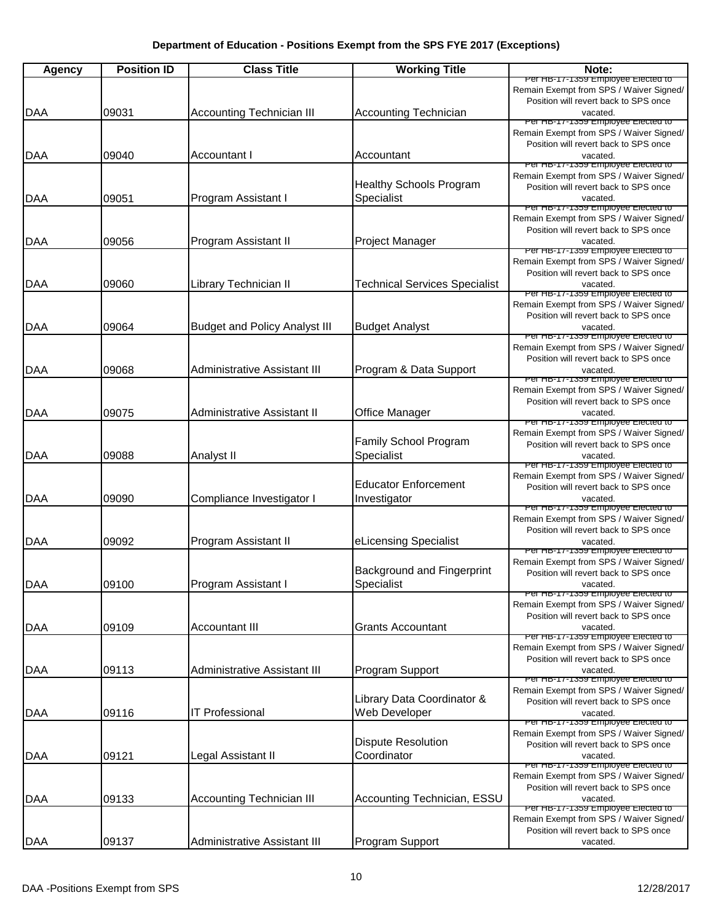| <b>Agency</b> | <b>Position ID</b> | <b>Class Title</b>                   | <b>Working Title</b>                         | Note:                                                                                                                              |
|---------------|--------------------|--------------------------------------|----------------------------------------------|------------------------------------------------------------------------------------------------------------------------------------|
|               |                    |                                      |                                              | Per HB-17-1359 Employee Elected to<br>Remain Exempt from SPS / Waiver Signed/<br>Position will revert back to SPS once             |
| <b>DAA</b>    | 09031              | <b>Accounting Technician III</b>     | <b>Accounting Technician</b>                 | vacated.<br>Per HB-17-1359 Employee Elected to                                                                                     |
| <b>DAA</b>    | 09040              | <b>Accountant I</b>                  | Accountant                                   | Remain Exempt from SPS / Waiver Signed/<br>Position will revert back to SPS once<br>vacated.<br>Per HB-17-1359 Employee Elected to |
| DAA           | 09051              | Program Assistant I                  | <b>Healthy Schools Program</b><br>Specialist | Remain Exempt from SPS / Waiver Signed/<br>Position will revert back to SPS once<br>vacated.                                       |
| DAA           | 09056              | Program Assistant II                 | Project Manager                              | Per HB-17-1359 Employee Elected to<br>Remain Exempt from SPS / Waiver Signed/<br>Position will revert back to SPS once<br>vacated. |
|               |                    |                                      |                                              | Per HB-17-1359 Employee Elected to<br>Remain Exempt from SPS / Waiver Signed/<br>Position will revert back to SPS once             |
| DAA           | 09060              | Library Technician II                | <b>Technical Services Specialist</b>         | vacated.                                                                                                                           |
| DAA           | 09064              | <b>Budget and Policy Analyst III</b> | <b>Budget Analyst</b>                        | Per HB-17-1359 Employee Elected to<br>Remain Exempt from SPS / Waiver Signed/<br>Position will revert back to SPS once<br>vacated. |
| <b>DAA</b>    | 09068              | <b>Administrative Assistant III</b>  | Program & Data Support                       | Per HB-17-1359 Employee Elected to<br>Remain Exempt from SPS / Waiver Signed/<br>Position will revert back to SPS once<br>vacated. |
| <b>DAA</b>    | 09075              | <b>Administrative Assistant II</b>   | Office Manager                               | Per HB-17-1359 Employee Elected to<br>Remain Exempt from SPS / Waiver Signed/<br>Position will revert back to SPS once<br>vacated. |
|               |                    |                                      |                                              | Per HB-17-1359 Employee Elected to                                                                                                 |
| <b>DAA</b>    | 09088              | Analyst II                           | Family School Program<br>Specialist          | Remain Exempt from SPS / Waiver Signed/<br>Position will revert back to SPS once<br>vacated.                                       |
| DAA           | 09090              | Compliance Investigator I            | <b>Educator Enforcement</b><br>Investigator  | Per HB-17-1359 Employee Elected to<br>Remain Exempt from SPS / Waiver Signed/<br>Position will revert back to SPS once<br>vacated. |
| <b>DAA</b>    | 09092              | Program Assistant II                 | eLicensing Specialist                        | Per HB-17-1359 Employee Elected to<br>Remain Exempt from SPS / Waiver Signed/<br>Position will revert back to SPS once<br>vacated. |
|               |                    |                                      |                                              | Per HB-17-1359 Employee Elected to                                                                                                 |
| <b>DAA</b>    | 09100              | Program Assistant I                  | Background and Fingerprint<br>Specialist     | Remain Exempt from SPS / Waiver Signed/<br>Position will revert back to SPS once<br>vacated.<br>Per HB-17-1359 Employee Elected to |
|               | 09109              | <b>Accountant III</b>                | <b>Grants Accountant</b>                     | Remain Exempt from SPS / Waiver Signed/<br>Position will revert back to SPS once<br>vacated.                                       |
| DAA           |                    |                                      |                                              | Per HB-17-1359 Employee Elected to<br>Remain Exempt from SPS / Waiver Signed/<br>Position will revert back to SPS once             |
| DAA           | 09113              | <b>Administrative Assistant III</b>  | Program Support                              | vacated.                                                                                                                           |
| <b>DAA</b>    | 09116              | <b>IT Professional</b>               | Library Data Coordinator &<br>Web Developer  | Per HB-17-1359 Employee Elected to<br>Remain Exempt from SPS / Waiver Signed/<br>Position will revert back to SPS once<br>vacated. |
| <b>DAA</b>    | 09121              | Legal Assistant II                   | <b>Dispute Resolution</b><br>Coordinator     | Per HB-17-1359 Employee Elected to<br>Remain Exempt from SPS / Waiver Signed/<br>Position will revert back to SPS once<br>vacated. |
| DAA           | 09133              | <b>Accounting Technician III</b>     | Accounting Technician, ESSU                  | Per HB-17-1359 Employee Elected to<br>Remain Exempt from SPS / Waiver Signed/<br>Position will revert back to SPS once<br>vacated. |
|               |                    | <b>Administrative Assistant III</b>  | Program Support                              | Per HB-17-1359 Employee Elected to<br>Remain Exempt from SPS / Waiver Signed/<br>Position will revert back to SPS once             |
| <b>DAA</b>    | 09137              |                                      |                                              | vacated.                                                                                                                           |